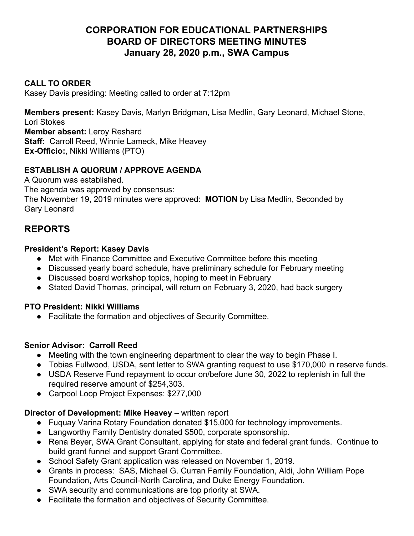# **CORPORATION FOR EDUCATIONAL PARTNERSHIPS BOARD OF DIRECTORS MEETING MINUTES January 28, 2020 p.m., SWA Campus**

### **CALL TO ORDER**

Kasey Davis presiding: Meeting called to order at 7:12pm

**Members present:** Kasey Davis, Marlyn Bridgman, Lisa Medlin, Gary Leonard, Michael Stone, Lori Stokes

**Member absent:** Leroy Reshard **Staff:** Carroll Reed, Winnie Lameck, Mike Heavey **Ex-Officio:**, Nikki Williams (PTO)

## **ESTABLISH A QUORUM / APPROVE AGENDA**

A Quorum was established.

The agenda was approved by consensus:

The November 19, 2019 minutes were approved: **MOTION** by Lisa Medlin, Seconded by Gary Leonard

# **REPORTS**

### **President's Report: Kasey Davis**

- Met with Finance Committee and Executive Committee before this meeting
- Discussed yearly board schedule, have preliminary schedule for February meeting
- Discussed board workshop topics, hoping to meet in February
- Stated David Thomas, principal, will return on February 3, 2020, had back surgery

### **PTO President: Nikki Williams**

● Facilitate the formation and objectives of Security Committee.

### **Senior Advisor: Carroll Reed**

- Meeting with the town engineering department to clear the way to begin Phase I.
- Tobias Fullwood, USDA, sent letter to SWA granting request to use \$170,000 in reserve funds.
- USDA Reserve Fund repayment to occur on/before June 30, 2022 to replenish in full the required reserve amount of \$254,303.
- Carpool Loop Project Expenses: \$277,000

### **Director of Development: Mike Heavey** – written report

- Fuquay Varina Rotary Foundation donated \$15,000 for technology improvements.
- Langworthy Family Dentistry donated \$500, corporate sponsorship.
- Rena Beyer, SWA Grant Consultant, applying for state and federal grant funds. Continue to build grant funnel and support Grant Committee.
- School Safety Grant application was released on November 1, 2019.
- Grants in process: SAS, Michael G. Curran Family Foundation, Aldi, John William Pope Foundation, Arts Council-North Carolina, and Duke Energy Foundation.
- SWA security and communications are top priority at SWA.
- Facilitate the formation and objectives of Security Committee.